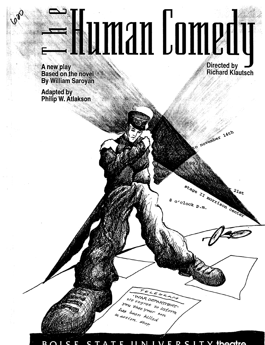# **ENAMAN L'ORANT Directed by**

A new play **Based on the novel By William Saroyan** 

**Adapted by<br>Philip W. Atlakson** 

**Richard Klautsch** 

Rovember 14th

 $z_{ls_t}$ 

Center

stage II morrison

 $\circ \circ \circ \circ \circ k_{p,m}$ .

E

u that Your

as been killed

zetion. Stop

WAR DERA We regret

ETIMENT.

to inform

 $s_{\phi_{J_2}}$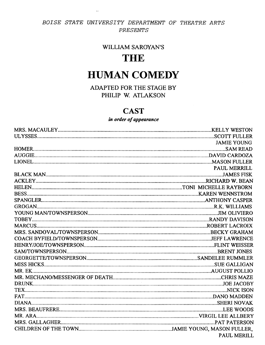## BOISE STATE UNIVERSITY DEPARTMENT OF THEATRE ARTS PRESENTS

 $\sim$ 

## **WILLIAM SAROYAN'S**

# **THE**

# **HUMAN COMEDY**

ADAPTED FOR THE STAGE BY PHILIP W. ATLAKSON

## **CAST**

## in order of appearance

| <b>JAMIE YOUNG</b>  |
|---------------------|
|                     |
|                     |
|                     |
| <b>PAUL MERRILL</b> |
|                     |
|                     |
|                     |
|                     |
|                     |
|                     |
|                     |
|                     |
|                     |
|                     |
|                     |
|                     |
|                     |
|                     |
|                     |
|                     |
|                     |
|                     |
|                     |
|                     |
|                     |
|                     |
|                     |
|                     |
|                     |
| <b>PAUL MERILL</b>  |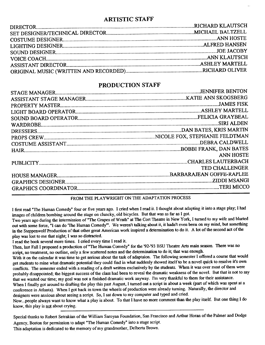## ARTISTIC STAFF

## PRODUCTION STAFF

| <b>ANN HOSTE</b>      |
|-----------------------|
|                       |
| <b>TED CHALLENGER</b> |
|                       |
|                       |
|                       |
|                       |

### FROM THE PLAYWRIGHT ON THE ADAPTATION PROCESS

I first read "The Human Comedy" four or five years ago. I cried when I read it. I thought about adapting it into a stage play; I had images of children bombing around the stage on cluncky, old bicycles. But that was as far as I got.

Two years ago during the intermission of "The Grapes of Wrath" at The Cort Theatre in New York, I turned to my wife and blurted out with some force, "I can do 'The Human Comedy'". We weren't talking about it, it hadn't even been on my mind, but something in the Steppenwolf Production of that other great American work inspired a determination to do it. A lot of the second act of the <sup>p</sup>lay was lost to me that night; I was so distracted

I read the book several more times. I cried every time I read it.

Then, last Fall I proposed a production of"The Human Comedy" for the '92-'93 BSU Theatre Arts main season. There was no script, no treatment, no outline, only a few scattered notes and the determination to do it; that was enough.

With it on the calendar it was time to get serious about the task of adaptaion. The following semester I offered a course that would get students to mine what dramatic potential they could find in what suddenly showed itself to be a novel quick to resolve it's own conflicts. The semester ended with a reading of a draft written exclusively by the students. When it was over most of them were probably disappointed; the biggest success of the class had been to reveal the dramatic weakness of the novel. But that is not to say that we wasted our time; my goal was not a finished dramatic work anyway. I'm very thankful to them for their assistance.

When I finally got around to drafting the play this past August, I turned out a script in about a week (part of which was spent at <sup>a</sup> conference in Atlanta). When I got back in town the wheels of production were already turning. Naturally, the director and designers were anxious about seeing a script. So, I sat down to my computer and typed and cried.

Now ... people always want to know what a play is about. To that I have no more comment than the play itself. But one thing I do know, this play is not about crying.

Special thanks to Robert Setrakian of the William Saroyan Foundation, San Francisco and Arthur Horan of the Palmer and Dodge Agency, Boston for permission to adapt "The Human Comedy" into a stage script.

This adaptation is dedicated to the memory of my grandmother, Delberta Brown.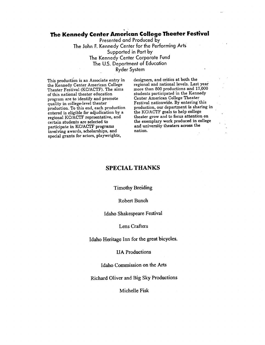## ' **The Kennedy Center American College Theater Festival**

Presented and Produced by The John F. Kennedy Center for the Performing Arts Supported in Part by The Kennedy Center Corporate Fund The U.S. Department of Education Ryder System

This production is an Associate entry in the Kennedy Center American College Theater Festival (KC/ACTF). The aims of this national theater education program are to identify and promote quality in college-level theater production. To this end, each production entered is eligible for adjudication by <sup>a</sup> regional KC/ACTF reprsentative, and certain students are selected to participate in KC/ACTF programs involving awards, scholarships, and special grants for actors, playwrights,

designers, and critics at both the regional and national levels. Last year more than 800 productions and 17,000 students participated in the Kennedy Center American College Theater Festival nationwide. By entering this production, our department is sharing in the KC/ACTF goals to help college theater grow and to focus attention on the exemplary work produced in college and university theaters across the nation.

#### **SPECIAL THANKS**

Timothy Breiding

#### Robert Bunch

#### Idaho Shakespeare Festival

#### Lens Crafters

Idaho Heritage Inn for the great bicycles.

#### IJA Productions

Idaho Commission on the Arts

Richard Oliver and Big Sky Productions

Michelle Fisk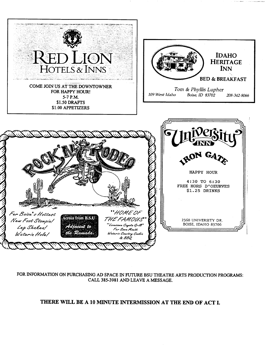

#### FOR INFORMATION ON PURCHASING AD SPACE IN FUTURE BSU THEATRE ARTS PRODUCTION PROGRAMS: CALL 385-3981 AND LEAVE A MESSAGE.

## THERE WILL BE A 10 MINUTE INTERMISSION AT THE END OF ACT I.